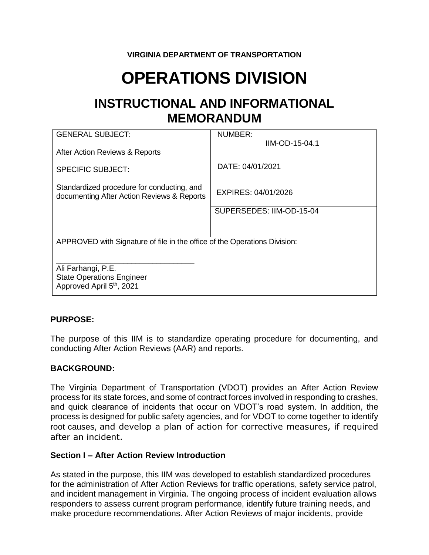#### **VIRGINIA DEPARTMENT OF TRANSPORTATION**

# **OPERATIONS DIVISION**

# **INSTRUCTIONAL AND INFORMATIONAL MEMORANDUM**

| <b>GENERAL SUBJECT:</b>                                                                  | <b>NUMBER:</b>           |  |
|------------------------------------------------------------------------------------------|--------------------------|--|
|                                                                                          | $IIM-OD-15-04.1$         |  |
| After Action Reviews & Reports                                                           |                          |  |
| <b>SPECIFIC SUBJECT:</b>                                                                 | DATE: 04/01/2021         |  |
| Standardized procedure for conducting, and<br>documenting After Action Reviews & Reports | EXPIRES: 04/01/2026      |  |
|                                                                                          | SUPERSEDES: IIM-OD-15-04 |  |
|                                                                                          |                          |  |
|                                                                                          |                          |  |
| APPROVED with Signature of file in the office of the Operations Division:                |                          |  |
|                                                                                          |                          |  |
|                                                                                          |                          |  |
| Ali Farhangi, P.E.                                                                       |                          |  |
| <b>State Operations Engineer</b>                                                         |                          |  |
| Approved April 5 <sup>th</sup> , 2021                                                    |                          |  |

#### **PURPOSE:**

The purpose of this IIM is to standardize operating procedure for documenting, and conducting After Action Reviews (AAR) and reports.

#### **BACKGROUND:**

The Virginia Department of Transportation (VDOT) provides an After Action Review process for its state forces, and some of contract forces involved in responding to crashes, and quick clearance of incidents that occur on VDOT's road system. In addition, the process is designed for public safety agencies, and for VDOT to come together to identify root causes, and develop a plan of action for corrective measures, if required after an incident.

#### **Section I – After Action Review Introduction**

As stated in the purpose, this IIM was developed to establish standardized procedures for the administration of After Action Reviews for traffic operations, safety service patrol, and incident management in Virginia. The ongoing process of incident evaluation allows responders to assess current program performance, identify future training needs, and make procedure recommendations. After Action Reviews of major incidents, provide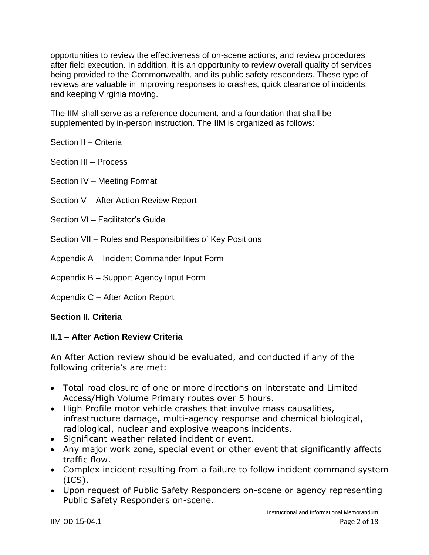opportunities to review the effectiveness of on-scene actions, and review procedures after field execution. In addition, it is an opportunity to review overall quality of services being provided to the Commonwealth, and its public safety responders. These type of reviews are valuable in improving responses to crashes, quick clearance of incidents, and keeping Virginia moving.

The IIM shall serve as a reference document, and a foundation that shall be supplemented by in-person instruction. The IIM is organized as follows:

Section II – Criteria

Section III – Process

Section IV – Meeting Format

Section V – After Action Review Report

Section VI – Facilitator's Guide

Section VII – Roles and Responsibilities of Key Positions

Appendix A – Incident Commander Input Form

Appendix B – Support Agency Input Form

Appendix C – After Action Report

#### **Section II. Criteria**

#### **II.1 – After Action Review Criteria**

An After Action review should be evaluated, and conducted if any of the following criteria's are met:

- Total road closure of one or more directions on interstate and Limited Access/High Volume Primary routes over 5 hours.
- High Profile motor vehicle crashes that involve mass causalities, infrastructure damage, multi-agency response and chemical biological, radiological, nuclear and explosive weapons incidents.
- Significant weather related incident or event.
- Any major work zone, special event or other event that significantly affects traffic flow.
- Complex incident resulting from a failure to follow incident command system  $(ICS).$
- Upon request of Public Safety Responders on-scene or agency representing Public Safety Responders on-scene.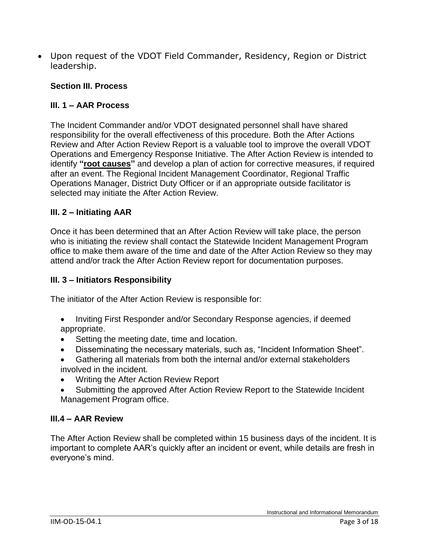Upon request of the VDOT Field Commander, Residency, Region or District leadership.

#### **Section III. Process**

#### **III. 1 – AAR Process**

The Incident Commander and/or VDOT designated personnel shall have shared responsibility for the overall effectiveness of this procedure. Both the After Actions Review and After Action Review Report is a valuable tool to improve the overall VDOT Operations and Emergency Response Initiative. The After Action Review is intended to identify **"root causes"** and develop a plan of action for corrective measures, if required after an event. The Regional Incident Management Coordinator, Regional Traffic Operations Manager, District Duty Officer or if an appropriate outside facilitator is selected may initiate the After Action Review.

#### **III. 2 – Initiating AAR**

Once it has been determined that an After Action Review will take place, the person who is initiating the review shall contact the Statewide Incident Management Program office to make them aware of the time and date of the After Action Review so they may attend and/or track the After Action Review report for documentation purposes.

#### **III. 3 – Initiators Responsibility**

The initiator of the After Action Review is responsible for:

- Inviting First Responder and/or Secondary Response agencies, if deemed appropriate.
- Setting the meeting date, time and location.
- Disseminating the necessary materials, such as, "Incident Information Sheet".
- Gathering all materials from both the internal and/or external stakeholders involved in the incident.
- Writing the After Action Review Report
- Submitting the approved After Action Review Report to the Statewide Incident Management Program office.

#### **III.4 – AAR Review**

The After Action Review shall be completed within 15 business days of the incident. It is important to complete AAR's quickly after an incident or event, while details are fresh in everyone's mind.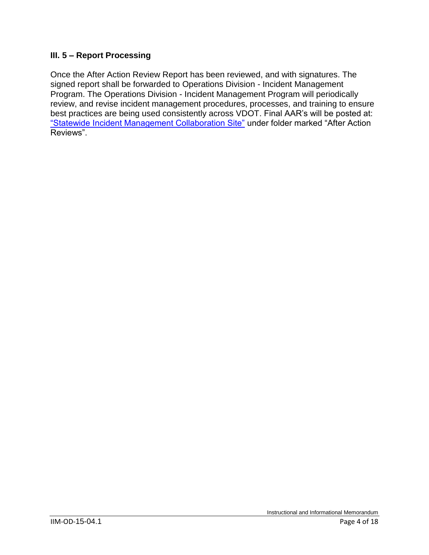#### **III. 5 – Report Processing**

Once the After Action Review Report has been reviewed, and with signatures. The signed report shall be forwarded to Operations Division - Incident Management Program. The Operations Division - Incident Management Program will periodically review, and revise incident management procedures, processes, and training to ensure best practices are being used consistently across VDOT. Final AAR's will be posted at: ["Statewide Incident Management Collaboration Site"](https://insidevdot.cov.virginia.gov/div/OSD/FOER/IncidentMgmt/Default.aspx) under folder marked "After Action Reviews".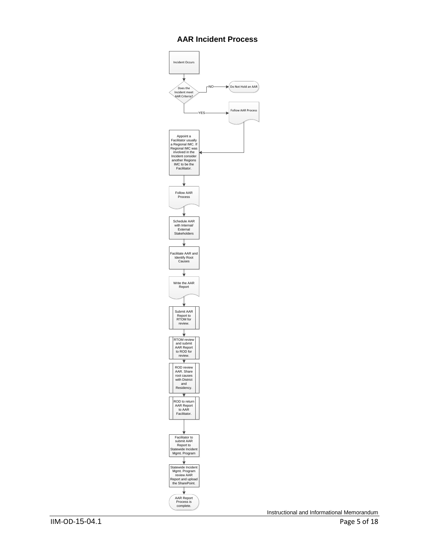#### **AAR Incident Process**

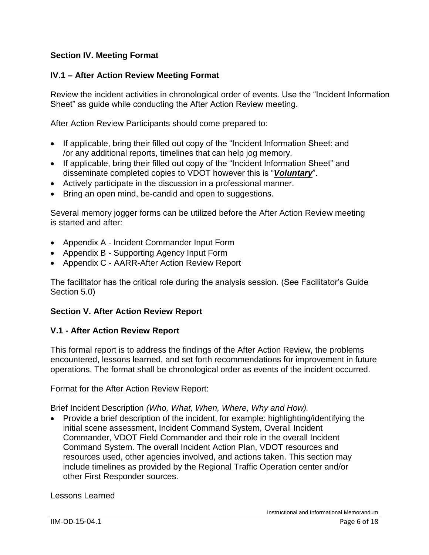#### **Section IV. Meeting Format**

#### **IV.1 – After Action Review Meeting Format**

Review the incident activities in chronological order of events. Use the "Incident Information Sheet" as guide while conducting the After Action Review meeting.

After Action Review Participants should come prepared to:

- If applicable, bring their filled out copy of the "Incident Information Sheet: and /or any additional reports, timelines that can help jog memory.
- If applicable, bring their filled out copy of the "Incident Information Sheet" and disseminate completed copies to VDOT however this is "*Voluntary*".
- Actively participate in the discussion in a professional manner.
- Bring an open mind, be-candid and open to suggestions.

Several memory jogger forms can be utilized before the After Action Review meeting is started and after:

- Appendix A Incident Commander Input Form
- Appendix B Supporting Agency Input Form
- Appendix C AARR-After Action Review Report

The facilitator has the critical role during the analysis session. (See Facilitator's Guide Section 5.0)

#### **Section V. After Action Review Report**

#### **V.1 - After Action Review Report**

This formal report is to address the findings of the After Action Review, the problems encountered, lessons learned, and set forth recommendations for improvement in future operations. The format shall be chronological order as events of the incident occurred.

Format for the After Action Review Report:

Brief Incident Description *(Who, What, When, Where, Why and How).*

• Provide a brief description of the incident, for example: highlighting/identifying the initial scene assessment, Incident Command System, Overall Incident Commander, VDOT Field Commander and their role in the overall Incident Command System. The overall Incident Action Plan, VDOT resources and resources used, other agencies involved, and actions taken. This section may include timelines as provided by the Regional Traffic Operation center and/or other First Responder sources.

Lessons Learned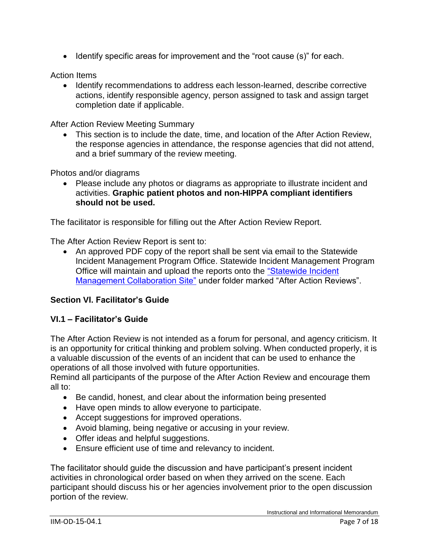• Identify specific areas for improvement and the "root cause (s)" for each.

Action Items

• Identify recommendations to address each lesson-learned, describe corrective actions, identify responsible agency, person assigned to task and assign target completion date if applicable.

After Action Review Meeting Summary

 This section is to include the date, time, and location of the After Action Review, the response agencies in attendance, the response agencies that did not attend, and a brief summary of the review meeting.

Photos and/or diagrams

 Please include any photos or diagrams as appropriate to illustrate incident and activities. **Graphic patient photos and non-HIPPA compliant identifiers should not be used.**

The facilitator is responsible for filling out the After Action Review Report.

The After Action Review Report is sent to:

• An approved PDF copy of the report shall be sent via email to the Statewide Incident Management Program Office. Statewide Incident Management Program Office will maintain and upload the reports onto [the "Statewide Incident](https://insidevdot.cov.virginia.gov/div/OSD/FOER/IncidentMgmt/Default.aspx)  [Management Collaboration Si](https://insidevdot.cov.virginia.gov/div/OSD/FOER/IncidentMgmt/Default.aspx)te" under folder marked "After Action Reviews".

#### **Section VI. Facilitator's Guide**

#### **VI.1 – Facilitator's Guide**

The After Action Review is not intended as a forum for personal, and agency criticism. It is an opportunity for critical thinking and problem solving. When conducted properly, it is a valuable discussion of the events of an incident that can be used to enhance the operations of all those involved with future opportunities.

Remind all participants of the purpose of the After Action Review and encourage them all to:

- Be candid, honest, and clear about the information being presented
- Have open minds to allow everyone to participate.
- Accept suggestions for improved operations.
- Avoid blaming, being negative or accusing in your review.
- Offer ideas and helpful suggestions.
- Ensure efficient use of time and relevancy to incident.

The facilitator should guide the discussion and have participant's present incident activities in chronological order based on when they arrived on the scene. Each participant should discuss his or her agencies involvement prior to the open discussion portion of the review.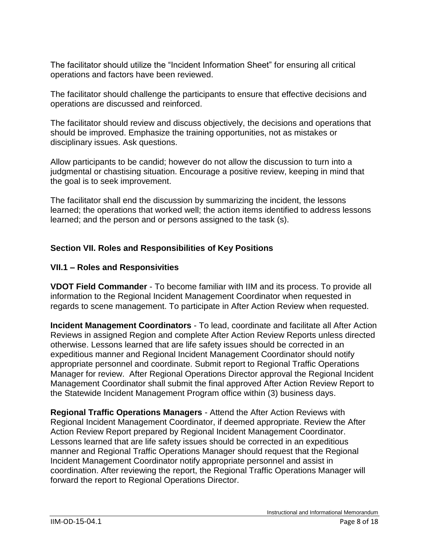The facilitator should utilize the "Incident Information Sheet" for ensuring all critical operations and factors have been reviewed.

The facilitator should challenge the participants to ensure that effective decisions and operations are discussed and reinforced.

The facilitator should review and discuss objectively, the decisions and operations that should be improved. Emphasize the training opportunities, not as mistakes or disciplinary issues. Ask questions.

Allow participants to be candid; however do not allow the discussion to turn into a judgmental or chastising situation. Encourage a positive review, keeping in mind that the goal is to seek improvement.

The facilitator shall end the discussion by summarizing the incident, the lessons learned; the operations that worked well; the action items identified to address lessons learned; and the person and or persons assigned to the task (s).

#### **Section VII. Roles and Responsibilities of Key Positions**

#### **VII.1 – Roles and Responsivities**

**VDOT Field Commander** - To become familiar with IIM and its process. To provide all information to the Regional Incident Management Coordinator when requested in regards to scene management. To participate in After Action Review when requested.

**Incident Management Coordinators** - To lead, coordinate and facilitate all After Action Reviews in assigned Region and complete After Action Review Reports unless directed otherwise. Lessons learned that are life safety issues should be corrected in an expeditious manner and Regional Incident Management Coordinator should notify appropriate personnel and coordinate. Submit report to Regional Traffic Operations Manager for review. After Regional Operations Director approval the Regional Incident Management Coordinator shall submit the final approved After Action Review Report to the Statewide Incident Management Program office within (3) business days.

**Regional Traffic Operations Managers** - Attend the After Action Reviews with Regional Incident Management Coordinator, if deemed appropriate. Review the After Action Review Report prepared by Regional Incident Management Coordinator. Lessons learned that are life safety issues should be corrected in an expeditious manner and Regional Traffic Operations Manager should request that the Regional Incident Management Coordinator notify appropriate personnel and assist in coordination. After reviewing the report, the Regional Traffic Operations Manager will forward the report to Regional Operations Director.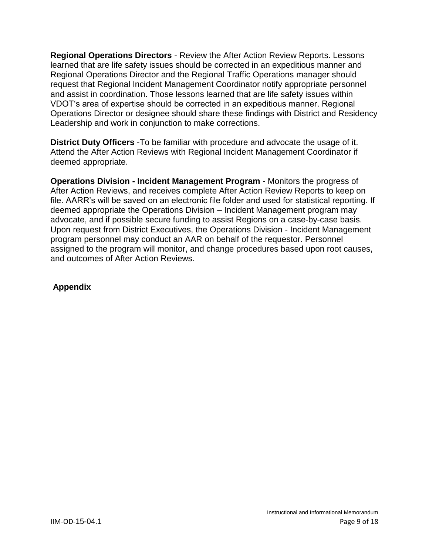**Regional Operations Directors** - Review the After Action Review Reports. Lessons learned that are life safety issues should be corrected in an expeditious manner and Regional Operations Director and the Regional Traffic Operations manager should request that Regional Incident Management Coordinator notify appropriate personnel and assist in coordination. Those lessons learned that are life safety issues within VDOT's area of expertise should be corrected in an expeditious manner. Regional Operations Director or designee should share these findings with District and Residency Leadership and work in conjunction to make corrections.

**District Duty Officers** -To be familiar with procedure and advocate the usage of it. Attend the After Action Reviews with Regional Incident Management Coordinator if deemed appropriate.

**Operations Division - Incident Management Program** - Monitors the progress of After Action Reviews, and receives complete After Action Review Reports to keep on file. AARR's will be saved on an electronic file folder and used for statistical reporting. If deemed appropriate the Operations Division – Incident Management program may advocate, and if possible secure funding to assist Regions on a case-by-case basis. Upon request from District Executives, the Operations Division - Incident Management program personnel may conduct an AAR on behalf of the requestor. Personnel assigned to the program will monitor, and change procedures based upon root causes, and outcomes of After Action Reviews.

#### **Appendix**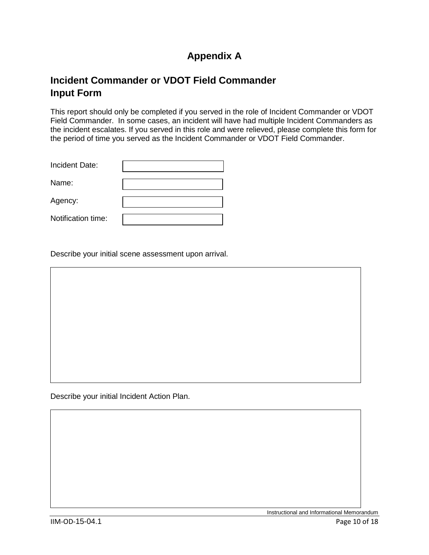# **Appendix A**

# **Incident Commander or VDOT Field Commander Input Form**

This report should only be completed if you served in the role of Incident Commander or VDOT Field Commander. In some cases, an incident will have had multiple Incident Commanders as the incident escalates. If you served in this role and were relieved, please complete this form for the period of time you served as the Incident Commander or VDOT Field Commander.

| Incident Date:     |  |
|--------------------|--|
| Name:              |  |
| Agency:            |  |
| Notification time: |  |

Describe your initial scene assessment upon arrival.

Describe your initial Incident Action Plan.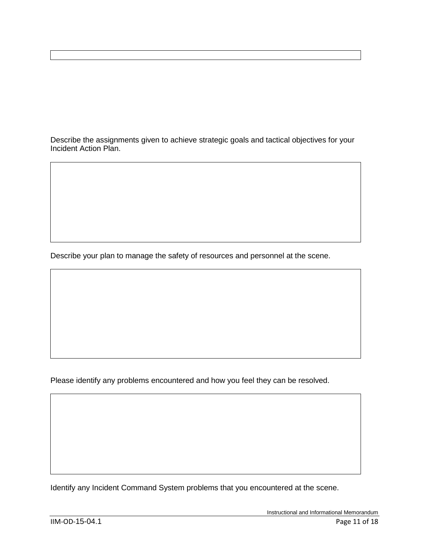Describe the assignments given to achieve strategic goals and tactical objectives for your Incident Action Plan.

Describe your plan to manage the safety of resources and personnel at the scene.

Please identify any problems encountered and how you feel they can be resolved.

Identify any Incident Command System problems that you encountered at the scene.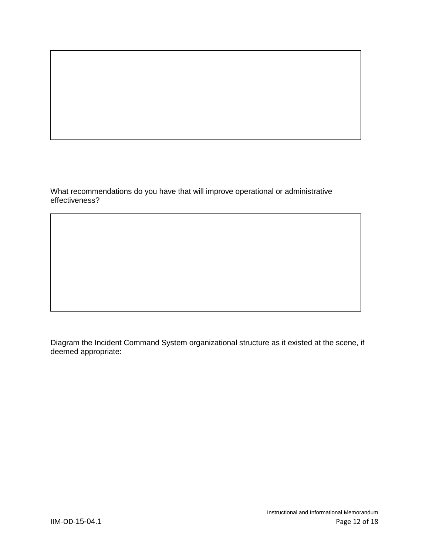What recommendations do you have that will improve operational or administrative effectiveness?

Diagram the Incident Command System organizational structure as it existed at the scene, if deemed appropriate: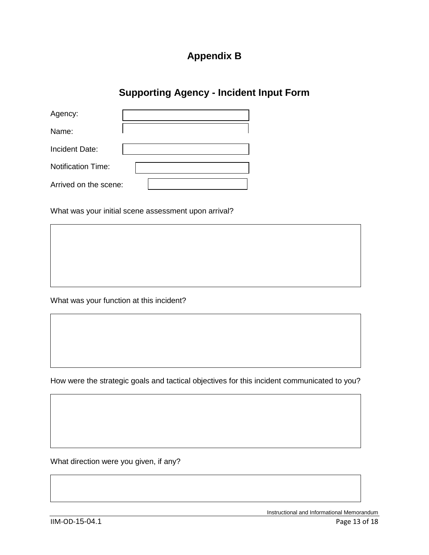# **Appendix B**

# **Supporting Agency - Incident Input Form**

| Agency:                   |  |
|---------------------------|--|
| Name:                     |  |
| Incident Date:            |  |
| <b>Notification Time:</b> |  |
| Arrived on the scene:     |  |

What was your initial scene assessment upon arrival?

What was your function at this incident?

How were the strategic goals and tactical objectives for this incident communicated to you?

What direction were you given, if any?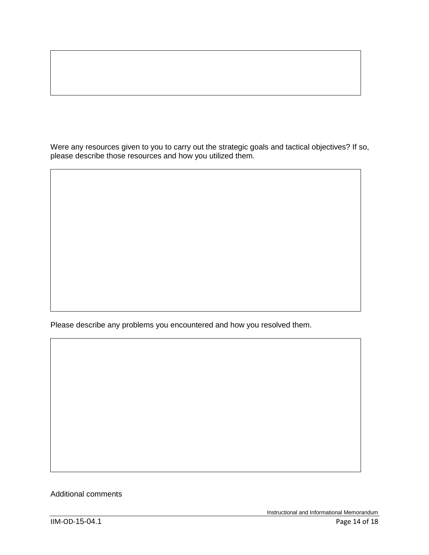Were any resources given to you to carry out the strategic goals and tactical objectives? If so, please describe those resources and how you utilized them.

Please describe any problems you encountered and how you resolved them.

Additional comments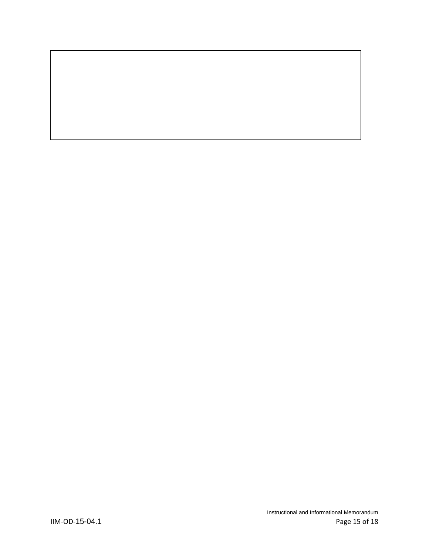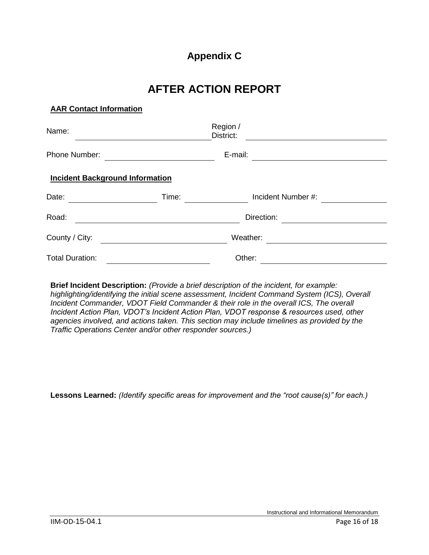# **Appendix C**

# **AFTER ACTION REPORT**

| Name:                                  | Region /<br>District: |
|----------------------------------------|-----------------------|
| Phone Number:                          | E-mail:               |
| <b>Incident Background Information</b> |                       |
| Date:<br>Time:                         | Incident Number #:    |
| Road:                                  | Direction:            |
| County / City:                         | Weather:              |
| <b>Total Duration:</b>                 | Other:                |

**Brief Incident Description:** *(Provide a brief description of the incident, for example: highlighting/identifying the initial scene assessment, Incident Command System (ICS), Overall Incident Commander, VDOT Field Commander & their role in the overall ICS, The overall Incident Action Plan, VDOT's Incident Action Plan, VDOT response & resources used, other agencies involved, and actions taken. This section may include timelines as provided by the Traffic Operations Center and/or other responder sources.)*

**Lessons Learned:** *(Identify specific areas for improvement and the "root cause(s)" for each.)*

**AAR Contact Information**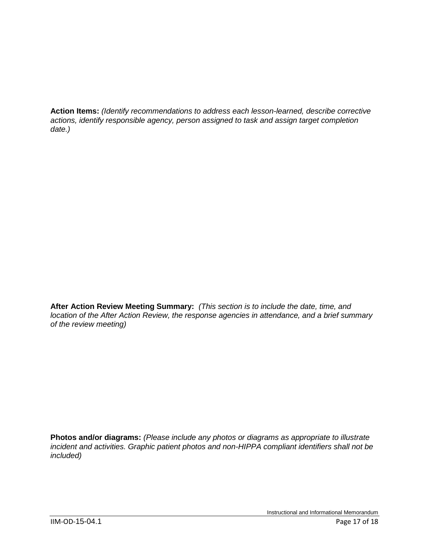**Action Items:** *(Identify recommendations to address each lesson-learned, describe corrective actions, identify responsible agency, person assigned to task and assign target completion date.)*

**After Action Review Meeting Summary:** *(This section is to include the date, time, and location of the After Action Review, the response agencies in attendance, and a brief summary of the review meeting)*

**Photos and/or diagrams:** *(Please include any photos or diagrams as appropriate to illustrate incident and activities. Graphic patient photos and non-HIPPA compliant identifiers shall not be included)*